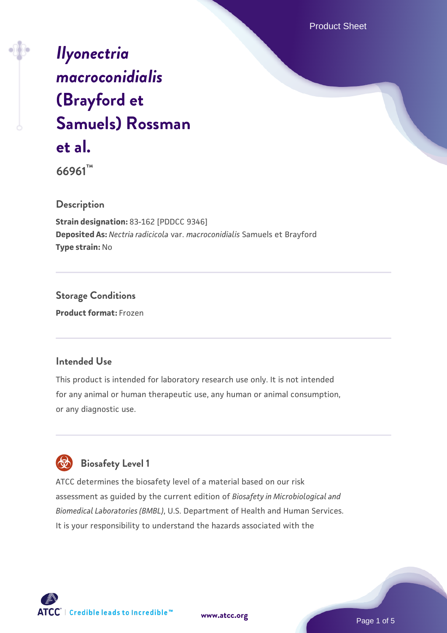Product Sheet

# *[Ilyonectria](https://www.atcc.org/products/66961) [macroconidialis](https://www.atcc.org/products/66961)* **[\(Brayford et](https://www.atcc.org/products/66961) [Samuels\) Rossman](https://www.atcc.org/products/66961) [et al.](https://www.atcc.org/products/66961)**

**66961™**

### **Description**

**Strain designation:** 83-162 [PDDCC 9346] **Deposited As:** *Nectria radicicola* var. *macroconidialis* Samuels et Brayford **Type strain:** No

### **Storage Conditions Product format:** Frozen

### **Intended Use**

This product is intended for laboratory research use only. It is not intended for any animal or human therapeutic use, any human or animal consumption, or any diagnostic use.

## **Biosafety Level 1**

ATCC determines the biosafety level of a material based on our risk assessment as guided by the current edition of *Biosafety in Microbiological and Biomedical Laboratories (BMBL)*, U.S. Department of Health and Human Services. It is your responsibility to understand the hazards associated with the



**[www.atcc.org](http://www.atcc.org)**

Page 1 of 5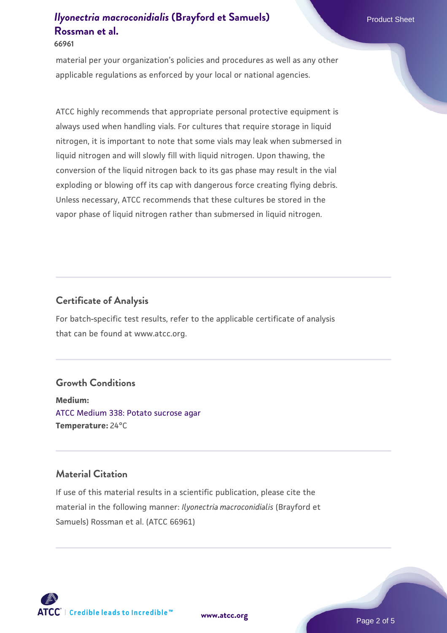#### **66961**

material per your organization's policies and procedures as well as any other applicable regulations as enforced by your local or national agencies.

ATCC highly recommends that appropriate personal protective equipment is always used when handling vials. For cultures that require storage in liquid nitrogen, it is important to note that some vials may leak when submersed in liquid nitrogen and will slowly fill with liquid nitrogen. Upon thawing, the conversion of the liquid nitrogen back to its gas phase may result in the vial exploding or blowing off its cap with dangerous force creating flying debris. Unless necessary, ATCC recommends that these cultures be stored in the vapor phase of liquid nitrogen rather than submersed in liquid nitrogen.

### **Certificate of Analysis**

For batch-specific test results, refer to the applicable certificate of analysis that can be found at www.atcc.org.

### **Growth Conditions**

**Medium:**  [ATCC Medium 338: Potato sucrose agar](https://www.atcc.org/-/media/product-assets/documents/microbial-media-formulations/3/3/8/atcc-medium-338.pdf?rev=46546b6f4a85482b856b30458c18db73) **Temperature:** 24°C

### **Material Citation**

If use of this material results in a scientific publication, please cite the material in the following manner: *Ilyonectria macroconidialis* (Brayford et Samuels) Rossman et al. (ATCC 66961)

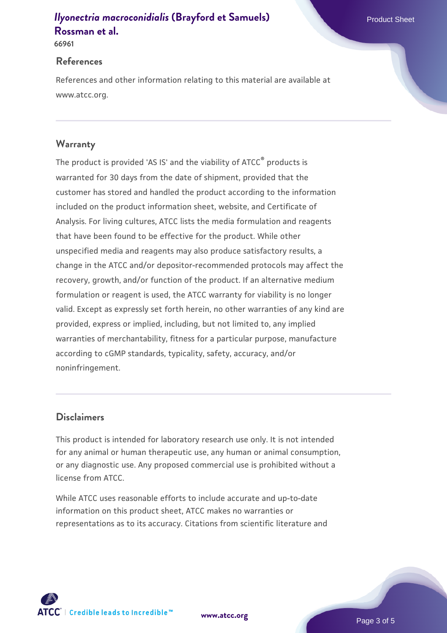**66961**

#### **References**

References and other information relating to this material are available at www.atcc.org.

### **Warranty**

The product is provided 'AS IS' and the viability of ATCC® products is warranted for 30 days from the date of shipment, provided that the customer has stored and handled the product according to the information included on the product information sheet, website, and Certificate of Analysis. For living cultures, ATCC lists the media formulation and reagents that have been found to be effective for the product. While other unspecified media and reagents may also produce satisfactory results, a change in the ATCC and/or depositor-recommended protocols may affect the recovery, growth, and/or function of the product. If an alternative medium formulation or reagent is used, the ATCC warranty for viability is no longer valid. Except as expressly set forth herein, no other warranties of any kind are provided, express or implied, including, but not limited to, any implied warranties of merchantability, fitness for a particular purpose, manufacture according to cGMP standards, typicality, safety, accuracy, and/or noninfringement.

### **Disclaimers**

This product is intended for laboratory research use only. It is not intended for any animal or human therapeutic use, any human or animal consumption, or any diagnostic use. Any proposed commercial use is prohibited without a license from ATCC.

While ATCC uses reasonable efforts to include accurate and up-to-date information on this product sheet, ATCC makes no warranties or representations as to its accuracy. Citations from scientific literature and

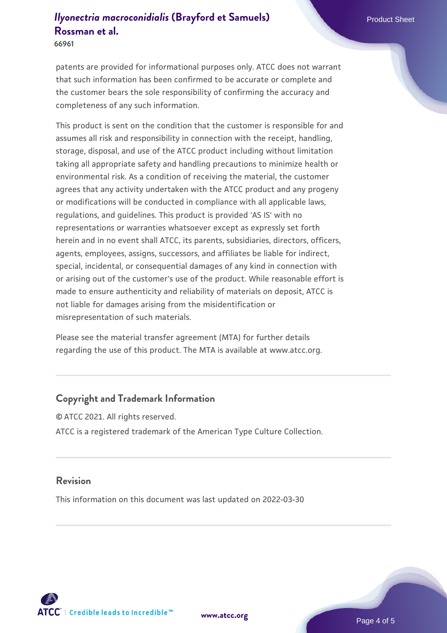**66961**

patents are provided for informational purposes only. ATCC does not warrant that such information has been confirmed to be accurate or complete and the customer bears the sole responsibility of confirming the accuracy and completeness of any such information.

This product is sent on the condition that the customer is responsible for and assumes all risk and responsibility in connection with the receipt, handling, storage, disposal, and use of the ATCC product including without limitation taking all appropriate safety and handling precautions to minimize health or environmental risk. As a condition of receiving the material, the customer agrees that any activity undertaken with the ATCC product and any progeny or modifications will be conducted in compliance with all applicable laws, regulations, and guidelines. This product is provided 'AS IS' with no representations or warranties whatsoever except as expressly set forth herein and in no event shall ATCC, its parents, subsidiaries, directors, officers, agents, employees, assigns, successors, and affiliates be liable for indirect, special, incidental, or consequential damages of any kind in connection with or arising out of the customer's use of the product. While reasonable effort is made to ensure authenticity and reliability of materials on deposit, ATCC is not liable for damages arising from the misidentification or misrepresentation of such materials.

Please see the material transfer agreement (MTA) for further details regarding the use of this product. The MTA is available at www.atcc.org.

### **Copyright and Trademark Information**

© ATCC 2021. All rights reserved. ATCC is a registered trademark of the American Type Culture Collection.

### **Revision**

This information on this document was last updated on 2022-03-30



**[www.atcc.org](http://www.atcc.org)**